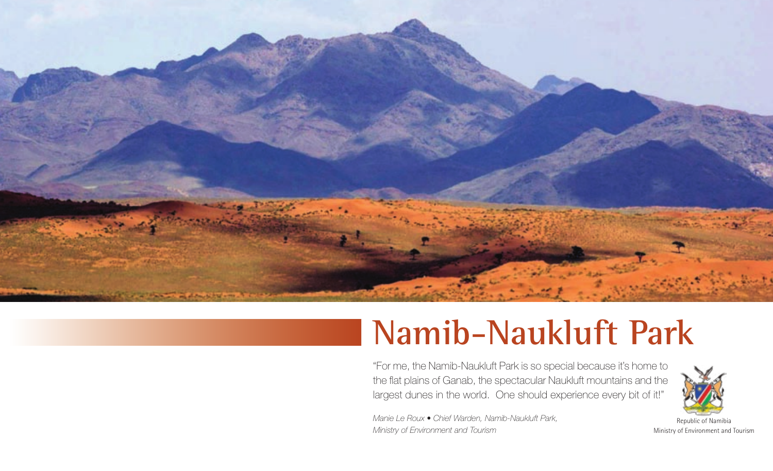

# **Namib-Naukluft Park**

"For me, the Namib-Naukluft Park is so special because it's home to the flat plains of Ganab, the spectacular Naukluft mountains and the largest dunes in the world. One should experience every bit of it!"

*Manie Le Roux • Chief Warden, Namib-Naukluft Park, Ministry of Environment and Tourism*



Republic of Namibia Ministry of Environment and Tourism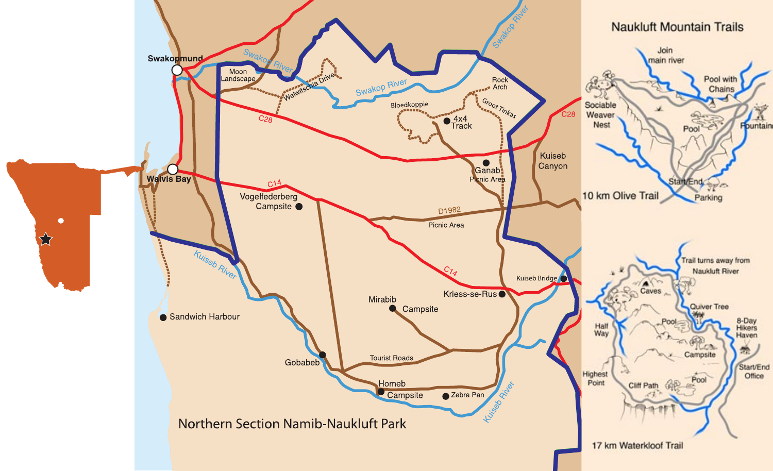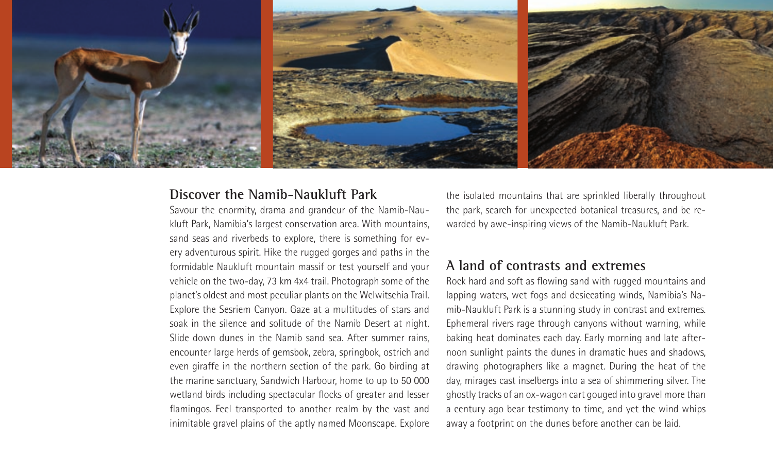

## **Discover the Namib-Naukluft Park**

Savour the enormity, drama and grandeur of the Namib-Naukluft Park, Namibia's largest conservation area. With mountains, sand seas and riverbeds to explore, there is something for every adventurous spirit. Hike the rugged gorges and paths in the formidable Naukluft mountain massif or test yourself and your vehicle on the two-day, 73 km 4x4 trail. Photograph some of the planet's oldest and most peculiar plants on the Welwitschia Trail. Explore the Sesriem Canyon. Gaze at a multitudes of stars and soak in the silence and solitude of the Namib Desert at night. Slide down dunes in the Namib sand sea. After summer rains, encounter large herds of gemsbok, zebra, springbok, ostrich and even giraffe in the northern section of the park. Go birding at the marine sanctuary, Sandwich Harbour, home to up to 50 000 wetland birds including spectacular flocks of greater and lesser flamingos. Feel transported to another realm by the vast and inimitable gravel plains of the aptly named Moonscape. Explore the isolated mountains that are sprinkled liberally throughout the park, search for unexpected botanical treasures, and be rewarded by awe-inspiring views of the Namib-Naukluft Park.

## **A land of contrasts and extremes**

Rock hard and soft as flowing sand with rugged mountains and lapping waters, wet fogs and desiccating winds, Namibia's Namib-Naukluft Park is a stunning study in contrast and extremes. Ephemeral rivers rage through canyons without warning, while baking heat dominates each day. Early morning and late afternoon sunlight paints the dunes in dramatic hues and shadows, drawing photographers like a magnet. During the heat of the day, mirages cast inselbergs into a sea of shimmering silver. The ghostly tracks of an ox-wagon cart gouged into gravel more than a century ago bear testimony to time, and yet the wind whips away a footprint on the dunes before another can be laid.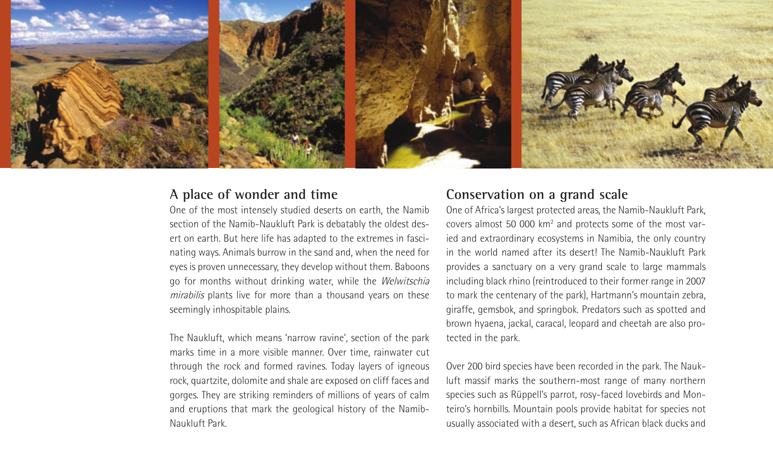

# **A place of wonder and time**

One of the most intensely studied deserts on earth, the Namib section of the Namib-Naukluft Park is debatably the oldest desert on earth. But here life has adapted to the extremes in fascinating ways. Animals burrow in the sand and, when the need for eyes is proven unnecessary, they develop without them. Baboons go for months without drinking water, while the Welwitschia mirabilis plants live for more than a thousand years on these seemingly inhospitable plains.

The Naukluft, which means 'narrow ravine', section of the park marks time in a more visible manner. Over time, rainwater cut through the rock and formed ravines. Today layers of igneous rock, quartzite, dolomite and shale are exposed on cliff faces and gorges. They are striking reminders of millions of years of calm and eruptions that mark the geological history of the Namib-Naukluft Park.

## **Conservation on a grand scale**

One of Africa's largest protected areas, the Namib-Naukluft Park, covers almost 50 000 km<sup>2</sup> and protects some of the most varied and extraordinary ecosystems in Namibia, the only country in the world named after its desert! The Namib-Naukluft Park provides a sanctuary on a very grand scale to large mammals including black rhino (reintroduced to their former range in 2007 to mark the centenary of the park), Hartmann's mountain zebra, giraffe, gemsbok, and springbok. Predators such as spotted and brown hyaena, jackal, caracal, leopard and cheetah are also protected in the park.

Over 200 bird species have been recorded in the park. The Naukluft massif marks the southern-most range of many northern species such as Rüppell's parrot, rosy-faced lovebirds and Monteiro's hornbills. Mountain pools provide habitat for species not usually associated with a desert, such as African black ducks and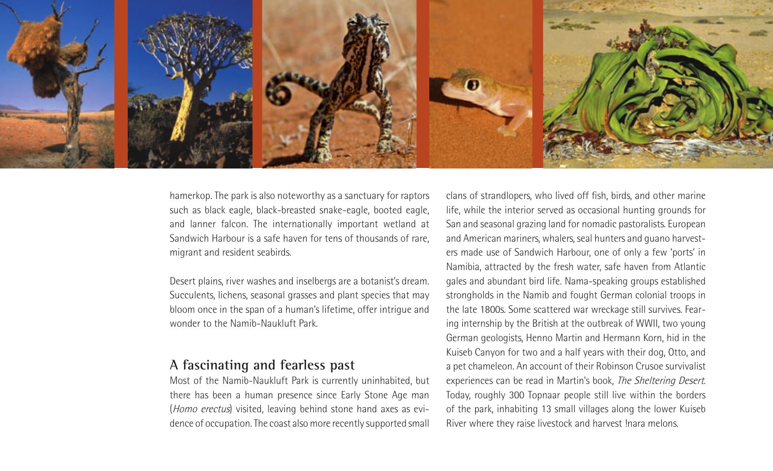

hamerkop. The park is also noteworthy as a sanctuary for raptors such as black eagle, black-breasted snake-eagle, booted eagle, and lanner falcon. The internationally important wetland at Sandwich Harbour is a safe haven for tens of thousands of rare, migrant and resident seabirds.

Desert plains, river washes and inselbergs are a botanist's dream. Succulents, lichens, seasonal grasses and plant species that may bloom once in the span of a human's lifetime, offer intrigue and wonder to the Namib-Naukluft Park.

### **A fascinating and fearless past**

Most of the Namib-Naukluft Park is currently uninhabited, but there has been a human presence since Early Stone Age man (Homo erectus) visited, leaving behind stone hand axes as evidence of occupation. The coast also more recently supported small clans of strandlopers, who lived off fish, birds, and other marine life, while the interior served as occasional hunting grounds for San and seasonal grazing land for nomadic pastoralists. European and American mariners, whalers, seal hunters and guano harvesters made use of Sandwich Harbour, one of only a few 'ports' in Namibia, attracted by the fresh water, safe haven from Atlantic gales and abundant bird life. Nama-speaking groups established strongholds in the Namib and fought German colonial troops in the late 1800s. Some scattered war wreckage still survives. Fearing internship by the British at the outbreak of WWII, two young German geologists, Henno Martin and Hermann Korn, hid in the Kuiseb Canyon for two and a half years with their dog, Otto, and a pet chameleon. An account of their Robinson Crusoe survivalist experiences can be read in Martin's book, The Sheltering Desert. Today, roughly 300 Topnaar people still live within the borders of the park, inhabiting 13 small villages along the lower Kuiseb River where they raise livestock and harvest !nara melons.